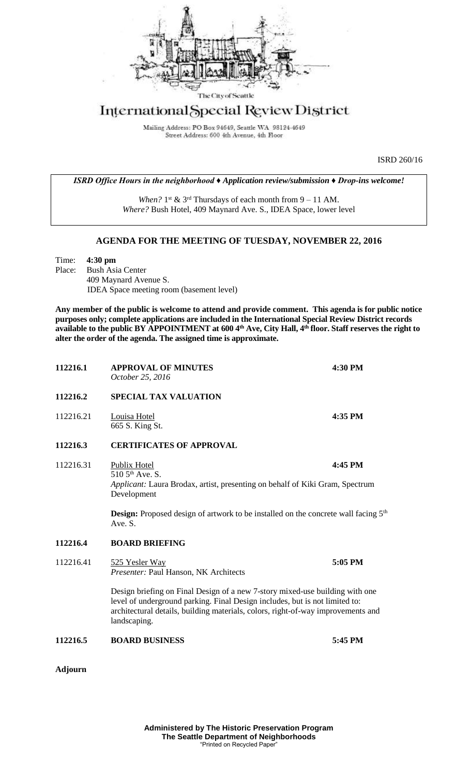

## International Special Review District

Mailing Address: PO Box 94649, Seattle WA 98124-4649 Street Address: 600 4th Avenue, 4th Floor

ISRD 260/16

*ISRD Office Hours in the neighborhood ♦ Application review/submission ♦ Drop-ins welcome!*

When?  $1^{st}$  &  $3^{rd}$  Thursdays of each month from  $9 - 11$  AM. *Where?* Bush Hotel, 409 Maynard Ave. S., IDEA Space, lower level

## **AGENDA FOR THE MEETING OF TUESDAY, NOVEMBER 22, 2016**

Time: **4:30 pm** Place: Bush Asia Center 409 Maynard Avenue S. IDEA Space meeting room (basement level)

**Any member of the public is welcome to attend and provide comment. This agenda is for public notice purposes only; complete applications are included in the International Special Review District records available to the public BY APPOINTMENT at 600 4th Ave, City Hall, 4th floor. Staff reserves the right to alter the order of the agenda. The assigned time is approximate.** 

| 112216.1       | <b>APPROVAL OF MINUTES</b><br>October 25, 2016                                                                                                                                                                                                                  | 4:30 PM |
|----------------|-----------------------------------------------------------------------------------------------------------------------------------------------------------------------------------------------------------------------------------------------------------------|---------|
| 112216.2       | <b>SPECIAL TAX VALUATION</b>                                                                                                                                                                                                                                    |         |
| 112216.21      | Louisa Hotel<br>665 S. King St.                                                                                                                                                                                                                                 | 4:35 PM |
| 112216.3       | <b>CERTIFICATES OF APPROVAL</b>                                                                                                                                                                                                                                 |         |
| 112216.31      | Publix Hotel<br>510 5 <sup>th</sup> Ave. S.<br>Applicant: Laura Brodax, artist, presenting on behalf of Kiki Gram, Spectrum<br>Development                                                                                                                      | 4:45 PM |
|                | <b>Design:</b> Proposed design of artwork to be installed on the concrete wall facing 5 <sup>th</sup><br>Ave. S.                                                                                                                                                |         |
| 112216.4       | <b>BOARD BRIEFING</b>                                                                                                                                                                                                                                           |         |
| 112216.41      | 525 Yesler Way<br>Presenter: Paul Hanson, NK Architects                                                                                                                                                                                                         | 5:05 PM |
|                | Design briefing on Final Design of a new 7-story mixed-use building with one<br>level of underground parking. Final Design includes, but is not limited to:<br>architectural details, building materials, colors, right-of-way improvements and<br>landscaping. |         |
| 112216.5       | <b>BOARD BUSINESS</b>                                                                                                                                                                                                                                           | 5:45 PM |
| <b>Adjourn</b> |                                                                                                                                                                                                                                                                 |         |